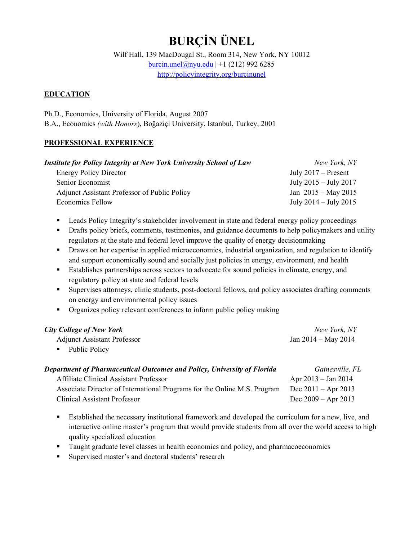# **BURÇİN ÜNEL**

Wilf Hall, 139 MacDougal St., Room 314, New York, NY 10012 burcin.unel@nyu.edu | +1 (212) 992 6285 http://policyintegrity.org/burcinunel

#### **EDUCATION**

Ph.D., Economics, University of Florida, August 2007 B.A., Economics *(with Honors*), Boğaziçi University, Istanbul, Turkey, 2001

#### **PROFESSIONAL EXPERIENCE**

| <b>Institute for Policy Integrity at New York University School of Law</b> | New York, NY              |
|----------------------------------------------------------------------------|---------------------------|
| <b>Energy Policy Director</b>                                              | July $2017 -$ Present     |
| Senior Economist                                                           | July $2015 -$ July $2017$ |
| <b>Adjunct Assistant Professor of Public Policy</b>                        | Jan $2015 -$ May 2015     |
| <b>Economics Fellow</b>                                                    | July $2014 -$ July $2015$ |

- **•** Leads Policy Integrity's stakeholder involvement in state and federal energy policy proceedings
- **•** Drafts policy briefs, comments, testimonies, and guidance documents to help policymakers and utility regulators at the state and federal level improve the quality of energy decisionmaking
- Draws on her expertise in applied microeconomics, industrial organization, and regulation to identify and support economically sound and socially just policies in energy, environment, and health
- Establishes partnerships across sectors to advocate for sound policies in climate, energy, and regulatory policy at state and federal levels
- Supervises attorneys, clinic students, post-doctoral fellows, and policy associates drafting comments on energy and environmental policy issues
- Organizes policy relevant conferences to inform public policy making

| <b>City College of New York</b>                                          | New York, NY            |
|--------------------------------------------------------------------------|-------------------------|
| <b>Adjunct Assistant Professor</b>                                       | Jan $2014 - May 2014$   |
| Public Policy                                                            |                         |
| Department of Pharmaceutical Outcomes and Policy, University of Florida  | Gainesville, FL         |
| Affiliate Clinical Assistant Professor                                   | Apr $2013 - Jan 2014$   |
| Associate Director of International Programs for the Online M.S. Program | Dec $2011 -$ Apr $2013$ |

Clinical Assistant Professor Dec 2009 – Apr 2013 Established the necessary institutional framework and developed the curriculum for a new, live, and

- interactive online master's program that would provide students from all over the world access to high quality specialized education
- **Taught graduate level classes in health economics and policy, and pharmacoeconomics**
- Supervised master's and doctoral students' research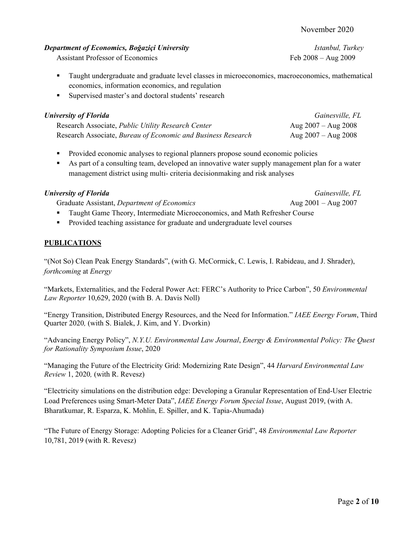Assistant Professor of Economics Feb 2008 – Aug 2009

- Taught undergraduate and graduate level classes in microeconomics, macroeconomics, mathematical economics, information economics, and regulation
- Supervised master's and doctoral students' research

| <b>University of Florida</b>                                 | Gainesville, FL         |
|--------------------------------------------------------------|-------------------------|
| Research Associate, Public Utility Research Center           | Aug $2007 -$ Aug $2008$ |
| Research Associate, Bureau of Economic and Business Research | Aug $2007 -$ Aug $2008$ |

- **Provided economic analyses to regional planners propose sound economic policies**
- As part of a consulting team, developed an innovative water supply management plan for a water management district using multi- criteria decisionmaking and risk analyses

## *University of Florida Gainesville, FL*

- Graduate Assistant, *Department of Economics* Aug 2001 Aug 2007
- 
- Taught Game Theory, Intermediate Microeconomics, and Math Refresher Course
- **Provided teaching assistance for graduate and undergraduate level courses**

# **PUBLICATIONS**

"(Not So) Clean Peak Energy Standards", (with G. McCormick, C. Lewis, I. Rabideau, and J. Shrader), *forthcoming* at *Energy* 

"Markets, Externalities, and the Federal Power Act: FERC's Authority to Price Carbon", 50 *Environmental Law Reporter* 10,629, 2020 (with B. A. Davis Noll)

"Energy Transition, Distributed Energy Resources, and the Need for Information." *IAEE Energy Forum*, Third Quarter 2020*,* (with S. Bialek, J. Kim, and Y. Dvorkin)

"Advancing Energy Policy", *N.Y.U. Environmental Law Journal*, *Energy & Environmental Policy: The Quest for Rationality Symposium Issue*, 2020

"Managing the Future of the Electricity Grid: Modernizing Rate Design", 44 *Harvard Environmental Law Review* 1, 2020*,* (with R. Revesz)

"Electricity simulations on the distribution edge: Developing a Granular Representation of End-User Electric Load Preferences using Smart-Meter Data", *IAEE Energy Forum Special Issue*, August 2019, (with A. Bharatkumar, R. Esparza, K. Mohlin, E. Spiller, and K. Tapia-Ahumada)

"The Future of Energy Storage: Adopting Policies for a Cleaner Grid", 48 *Environmental Law Reporter* 10,781, 2019 (with R. Revesz)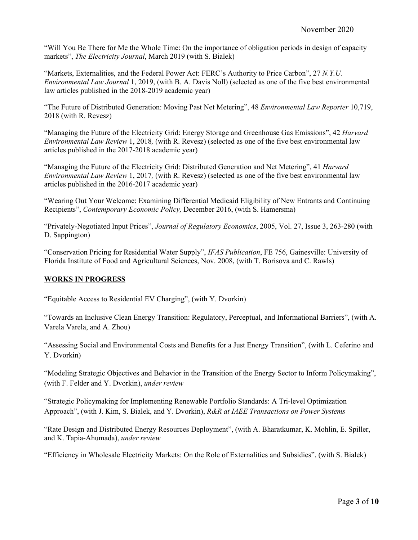"Will You Be There for Me the Whole Time: On the importance of obligation periods in design of capacity markets", *The Electricity Journal*, March 2019 (with S. Bialek)

"Markets, Externalities, and the Federal Power Act: FERC's Authority to Price Carbon", 27 *N.Y.U. Environmental Law Journal* 1, 2019, (with B. A. Davis Noll) (selected as one of the five best environmental law articles published in the 2018-2019 academic year)

"The Future of Distributed Generation: Moving Past Net Metering", 48 *Environmental Law Reporter* 10,719, 2018 (with R. Revesz)

"Managing the Future of the Electricity Grid: Energy Storage and Greenhouse Gas Emissions", 42 *Harvard Environmental Law Review* 1, 2018*,* (with R. Revesz) (selected as one of the five best environmental law articles published in the 2017-2018 academic year)

"Managing the Future of the Electricity Grid: Distributed Generation and Net Metering", 41 *Harvard Environmental Law Review* 1, 2017*,* (with R. Revesz) (selected as one of the five best environmental law articles published in the 2016-2017 academic year)

"Wearing Out Your Welcome: Examining Differential Medicaid Eligibility of New Entrants and Continuing Recipients", *Contemporary Economic Policy,* December 2016, (with S. Hamersma)

"Privately-Negotiated Input Prices", *Journal of Regulatory Economics*, 2005, Vol. 27, Issue 3, 263-280 (with D. Sappington)

"Conservation Pricing for Residential Water Supply", *IFAS Publication*, FE 756, Gainesville: University of Florida Institute of Food and Agricultural Sciences, Nov. 2008, (with T. Borisova and C. Rawls)

#### **WORKS IN PROGRESS**

"Equitable Access to Residential EV Charging", (with Y. Dvorkin)

"Towards an Inclusive Clean Energy Transition: Regulatory, Perceptual, and Informational Barriers", (with A. Varela Varela, and A. Zhou)

"Assessing Social and Environmental Costs and Benefits for a Just Energy Transition", (with L. Ceferino and Y. Dvorkin)

"Modeling Strategic Objectives and Behavior in the Transition of the Energy Sector to Inform Policymaking", (with F. Felder and Y. Dvorkin), *under review*

"Strategic Policymaking for Implementing Renewable Portfolio Standards: A Tri-level Optimization Approach", (with J. Kim, S. Bialek, and Y. Dvorkin), *R&R at IAEE Transactions on Power Systems* 

"Rate Design and Distributed Energy Resources Deployment", (with A. Bharatkumar, K. Mohlin, E. Spiller, and K. Tapia-Ahumada), *under review*

"Efficiency in Wholesale Electricity Markets: On the Role of Externalities and Subsidies", (with S. Bialek)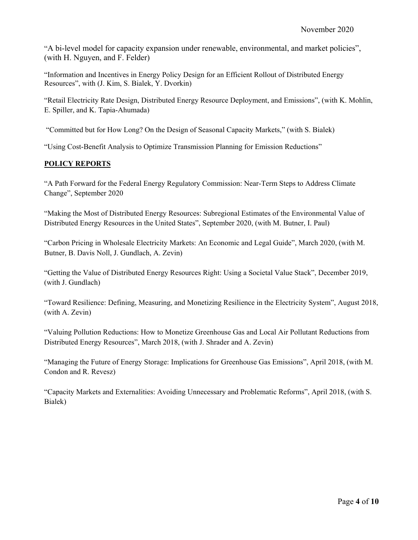"A bi-level model for capacity expansion under renewable, environmental, and market policies", (with H. Nguyen, and F. Felder)

"Information and Incentives in Energy Policy Design for an Efficient Rollout of Distributed Energy Resources", with (J. Kim, S. Bialek, Y. Dvorkin)

"Retail Electricity Rate Design, Distributed Energy Resource Deployment, and Emissions", (with K. Mohlin, E. Spiller, and K. Tapia-Ahumada)

"Committed but for How Long? On the Design of Seasonal Capacity Markets," (with S. Bialek)

"Using Cost-Benefit Analysis to Optimize Transmission Planning for Emission Reductions"

#### **POLICY REPORTS**

"A Path Forward for the Federal Energy Regulatory Commission: Near-Term Steps to Address Climate Change", September 2020

"Making the Most of Distributed Energy Resources: Subregional Estimates of the Environmental Value of Distributed Energy Resources in the United States", September 2020, (with M. Butner, I. Paul)

"Carbon Pricing in Wholesale Electricity Markets: An Economic and Legal Guide", March 2020, (with M. Butner, B. Davis Noll, J. Gundlach, A. Zevin)

"Getting the Value of Distributed Energy Resources Right: Using a Societal Value Stack", December 2019, (with J. Gundlach)

"Toward Resilience: Defining, Measuring, and Monetizing Resilience in the Electricity System", August 2018, (with A. Zevin)

"Valuing Pollution Reductions: How to Monetize Greenhouse Gas and Local Air Pollutant Reductions from Distributed Energy Resources", March 2018, (with J. Shrader and A. Zevin)

"Managing the Future of Energy Storage: Implications for Greenhouse Gas Emissions", April 2018, (with M. Condon and R. Revesz)

"Capacity Markets and Externalities: Avoiding Unnecessary and Problematic Reforms", April 2018, (with S. Bialek)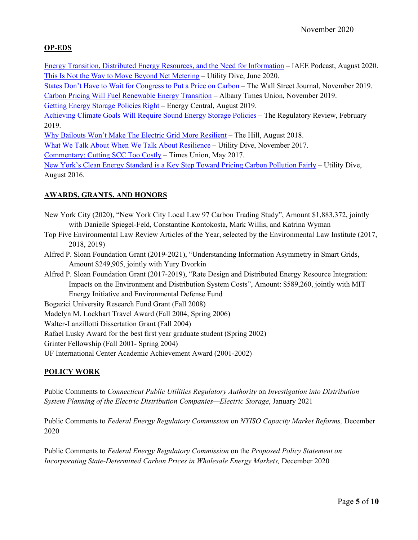### **OP-EDS**

Energy Transition, Distributed Energy Resources, and the Need for Information – IAEE Podcast, August 2020. This Is Not the Way to Move Beyond Net Metering – Utility Dive, June 2020.

States Don't Have to Wait for Congress to Put a Price on Carbon – The Wall Street Journal, November 2019.

Carbon Pricing Will Fuel Renewable Energy Transition – Albany Times Union, November 2019.

Getting Energy Storage Policies Right – Energy Central, August 2019.

Achieving Climate Goals Will Require Sound Energy Storage Policies – The Regulatory Review, February 2019.

Why Bailouts Won't Make The Electric Grid More Resilient – The Hill, August 2018.

What We Talk About When We Talk About Resilience – Utility Dive, November 2017.

Commentary: Cutting SCC Too Costly – Times Union, May 2017.

New York's Clean Energy Standard is a Key Step Toward Pricing Carbon Pollution Fairly – Utility Dive, August 2016.

## **AWARDS, GRANTS, AND HONORS**

- New York City (2020), "New York City Local Law 97 Carbon Trading Study", Amount \$1,883,372, jointly with Danielle Spiegel-Feld, Constantine Kontokosta, Mark Willis, and Katrina Wyman
- Top Five Environmental Law Review Articles of the Year, selected by the Environmental Law Institute (2017, 2018, 2019)
- Alfred P. Sloan Foundation Grant (2019-2021), "Understanding Information Asymmetry in Smart Grids, Amount \$249,905, jointly with Yury Dvorkin

Alfred P. Sloan Foundation Grant (2017-2019), "Rate Design and Distributed Energy Resource Integration: Impacts on the Environment and Distribution System Costs", Amount: \$589,260, jointly with MIT Energy Initiative and Environmental Defense Fund

Bogazici University Research Fund Grant (Fall 2008)

Madelyn M. Lockhart Travel Award (Fall 2004, Spring 2006)

Walter-Lanzillotti Dissertation Grant (Fall 2004)

Rafael Lusky Award for the best first year graduate student (Spring 2002)

Grinter Fellowship (Fall 2001- Spring 2004)

UF International Center Academic Achievement Award (2001-2002)

### **POLICY WORK**

Public Comments to *Connecticut Public Utilities Regulatory Authority* on *Investigation into Distribution System Planning of the Electric Distribution Companies—Electric Storage*, January 2021

Public Comments to *Federal Energy Regulatory Commission* on *NYISO Capacity Market Reforms,* December 2020

Public Comments to *Federal Energy Regulatory Commission* on the *Proposed Policy Statement on Incorporating State-Determined Carbon Prices in Wholesale Energy Markets,* December 2020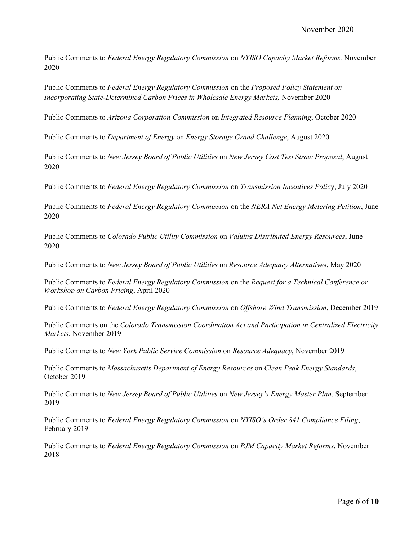Public Comments to *Federal Energy Regulatory Commission* on *NYISO Capacity Market Reforms,* November 2020

Public Comments to *Federal Energy Regulatory Commission* on the *Proposed Policy Statement on Incorporating State-Determined Carbon Prices in Wholesale Energy Markets,* November 2020

Public Comments to *Arizona Corporation Commission* on *Integrated Resource Planning*, October 2020

Public Comments to *Department of Energy* on *Energy Storage Grand Challenge*, August 2020

Public Comments to *New Jersey Board of Public Utilities* on *New Jersey Cost Test Straw Proposal*, August 2020

Public Comments to *Federal Energy Regulatory Commission* on *Transmission Incentives Polic*y, July 2020

Public Comments to *Federal Energy Regulatory Commission* on the *NERA Net Energy Metering Petition*, June 2020

Public Comments to *Colorado Public Utility Commission* on *Valuing Distributed Energy Resources*, June 2020

Public Comments to *New Jersey Board of Public Utilities* on *Resource Adequacy Alternative*s, May 2020

Public Comments to *Federal Energy Regulatory Commission* on the *Request for a Technical Conference or Workshop on Carbon Pricing*, April 2020

Public Comments to *Federal Energy Regulatory Commission* on *Offshore Wind Transmission*, December 2019

Public Comments on the *Colorado Transmission Coordination Act and Participation in Centralized Electricity Markets*, November 2019

Public Comments to *New York Public Service Commission* on *Resource Adequacy*, November 2019

Public Comments to *Massachusetts Department of Energy Resources* on *Clean Peak Energy Standards*, October 2019

Public Comments to *New Jersey Board of Public Utilities* on *New Jersey's Energy Master Plan*, September 2019

Public Comments to *Federal Energy Regulatory Commission* on *NYISO's Order 841 Compliance Filing*, February 2019

Public Comments to *Federal Energy Regulatory Commission* on *PJM Capacity Market Reforms*, November 2018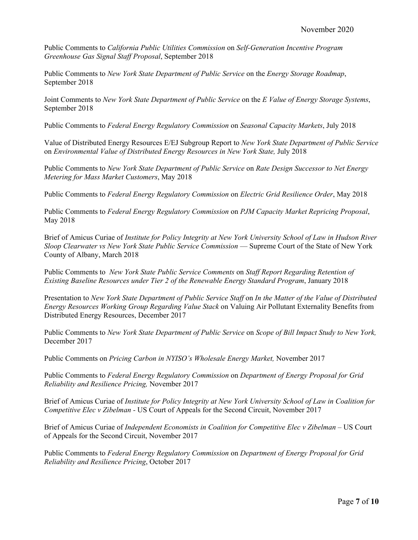Public Comments to *California Public Utilities Commission* on *Self-Generation Incentive Program Greenhouse Gas Signal Staff Proposal*, September 2018

Public Comments to *New York State Department of Public Service* on the *Energy Storage Roadmap*, September 2018

Joint Comments to *New York State Department of Public Service* on the *E Value of Energy Storage Systems*, September 2018

Public Comments to *Federal Energy Regulatory Commission* on *Seasonal Capacity Markets*, July 2018

Value of Distributed Energy Resources E/EJ Subgroup Report to *New York State Department of Public Service*  on *Environmental Value of Distributed Energy Resources in New York State,* July 2018

Public Comments to *New York State Department of Public Service* on *Rate Design Successor to Net Energy Metering for Mass Market Customers*, May 2018

Public Comments to *Federal Energy Regulatory Commission* on *Electric Grid Resilience Order*, May 2018

Public Comments to *Federal Energy Regulatory Commission* on *PJM Capacity Market Repricing Proposal*, May 2018

Brief of Amicus Curiae of *Institute for Policy Integrity at New York University School of Law in Hudson River Sloop Clearwater vs New York State Public Service Commission* — Supreme Court of the State of New York County of Albany, March 2018

Public Comments to *New York State Public Service Comments* on *Staff Report Regarding Retention of Existing Baseline Resources under Tier 2 of the Renewable Energy Standard Program*, January 2018

Presentation to *New York State Department of Public Service Staff* on *In the Matter of the Value of Distributed Energy Resources Working Group Regarding Value Stack* on Valuing Air Pollutant Externality Benefits from Distributed Energy Resources, December 2017

Public Comments to *New York State Department of Public Service* on *Scope of Bill Impact Study to New York,*  December 2017

Public Comments on *Pricing Carbon in NYISO's Wholesale Energy Market,* November 2017

Public Comments to *Federal Energy Regulatory Commission* on *Department of Energy Proposal for Grid Reliability and Resilience Pricing,* November 2017

Brief of Amicus Curiae of *Institute for Policy Integrity at New York University School of Law in Coalition for Competitive Elec v Zibelman -* US Court of Appeals for the Second Circuit, November 2017

Brief of Amicus Curiae of *Independent Economists in Coalition for Competitive Elec v Zibelman* – US Court of Appeals for the Second Circuit, November 2017

Public Comments to *Federal Energy Regulatory Commission* on *Department of Energy Proposal for Grid Reliability and Resilience Pricing*, October 2017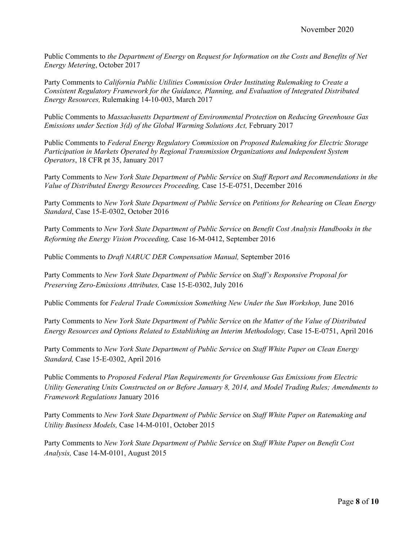Public Comments to *the Department of Energy* on *Request for Information on the Costs and Benefits of Net Energy Metering*, October 2017

Party Comments to *California Public Utilities Commission Order Instituting Rulemaking to Create a Consistent Regulatory Framework for the Guidance, Planning, and Evaluation of Integrated Distributed Energy Resources,* Rulemaking 14-10-003, March 2017

Public Comments to *Massachusetts Department of Environmental Protection* on *Reducing Greenhouse Gas Emissions under Section 3(d) of the Global Warming Solutions Act, February 2017* 

Public Comments to *Federal Energy Regulatory Commission* on *Proposed Rulemaking for Electric Storage Participation in Markets Operated by Regional Transmission Organizations and Independent System Operators*, 18 CFR pt 35, January 2017

Party Comments to *New York State Department of Public Service* on *Staff Report and Recommendations in the Value of Distributed Energy Resources Proceeding,* Case 15-E-0751, December 2016

Party Comments to *New York State Department of Public Service* on *Petitions for Rehearing on Clean Energy Standard*, Case 15-E-0302, October 2016

Party Comments to *New York State Department of Public Service* on *Benefit Cost Analysis Handbooks in the Reforming the Energy Vision Proceeding,* Case 16-M-0412, September 2016

Public Comments to *Draft NARUC DER Compensation Manual,* September 2016

Party Comments to *New York State Department of Public Service* on *Staff's Responsive Proposal for Preserving Zero-Emissions Attributes,* Case 15-E-0302, July 2016

Public Comments for *Federal Trade Commission Something New Under the Sun Workshop*, June 2016

Party Comments to *New York State Department of Public Service* on *the Matter of the Value of Distributed Energy Resources and Options Related to Establishing an Interim Methodology,* Case 15-E-0751, April 2016

Party Comments to *New York State Department of Public Service* on *Staff White Paper on Clean Energy Standard,* Case 15-E-0302, April 2016

Public Comments to *Proposed Federal Plan Requirements for Greenhouse Gas Emissions from Electric Utility Generating Units Constructed on or Before January 8, 2014, and Model Trading Rules; Amendments to Framework Regulations* January 2016

Party Comments to *New York State Department of Public Service* on *Staff White Paper on Ratemaking and Utility Business Models,* Case 14-M-0101, October 2015

Party Comments to *New York State Department of Public Service* on *Staff White Paper on Benefit Cost Analysis,* Case 14-M-0101, August 2015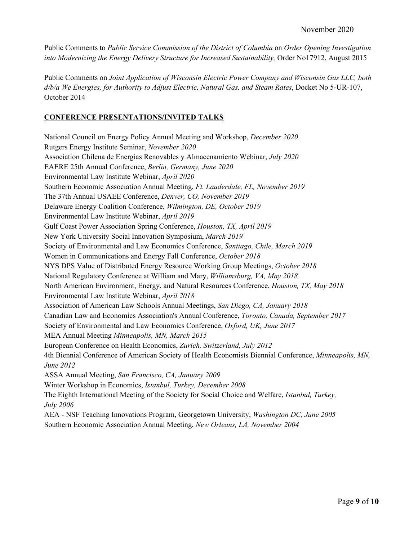Public Comments to *Public Service Commission of the District of Columbia* on *Order Opening Investigation into Modernizing the Energy Delivery Structure for Increased Sustainability,* Order No17912, August 2015

Public Comments on *Joint Application of Wisconsin Electric Power Company and Wisconsin Gas LLC, both d/b/a We Energies, for Authority to Adjust Electric, Natural Gas, and Steam Rates*, Docket No 5-UR-107, October 2014

#### **CONFERENCE PRESENTATIONS/INVITED TALKS**

National Council on Energy Policy Annual Meeting and Workshop, *December 2020*  Rutgers Energy Institute Seminar, *November 2020*  Association Chilena de Energias Renovables y Almacenamiento Webinar, *July 2020* EAERE 25th Annual Conference, *Berlin, Germany, June 2020*  Environmental Law Institute Webinar, *April 2020* Southern Economic Association Annual Meeting, *Ft. Lauderdale, FL, November 2019*  The 37th Annual USAEE Conference, *Denver, CO, November 2019*  Delaware Energy Coalition Conference, *Wilmington, DE, October 2019*  Environmental Law Institute Webinar, *April 2019*  Gulf Coast Power Association Spring Conference, *Houston, TX, April 2019*  New York University Social Innovation Symposium, *March 2019*  Society of Environmental and Law Economics Conference, *Santiago, Chile, March 2019*  Women in Communications and Energy Fall Conference, *October 2018*  NYS DPS Value of Distributed Energy Resource Working Group Meetings, *October 2018*  National Regulatory Conference at William and Mary, *Williamsburg, VA, May 2018*  North American Environment, Energy, and Natural Resources Conference, *Houston, TX, May 2018*  Environmental Law Institute Webinar, *April 2018*  Association of American Law Schools Annual Meetings, *San Diego, CA, January 2018*  Canadian Law and Economics Association's Annual Conference, *Toronto, Canada, September 2017*  Society of Environmental and Law Economics Conference, *Oxford, UK, June 2017*  MEA Annual Meeting *Minneapolis, MN, March 2015* European Conference on Health Economics, *Zurich, Switzerland, July 2012* 4th Biennial Conference of American Society of Health Economists Biennial Conference, *Minneapolis, MN, June 2012* ASSA Annual Meeting, *San Francisco, CA, January 2009* Winter Workshop in Economics, *Istanbul, Turkey, December 2008* The Eighth International Meeting of the Society for Social Choice and Welfare, *Istanbul, Turkey, July 2006*  AEA - NSF Teaching Innovations Program, Georgetown University, *Washington DC, June 2005*

Southern Economic Association Annual Meeting, *New Orleans, LA, November 2004*